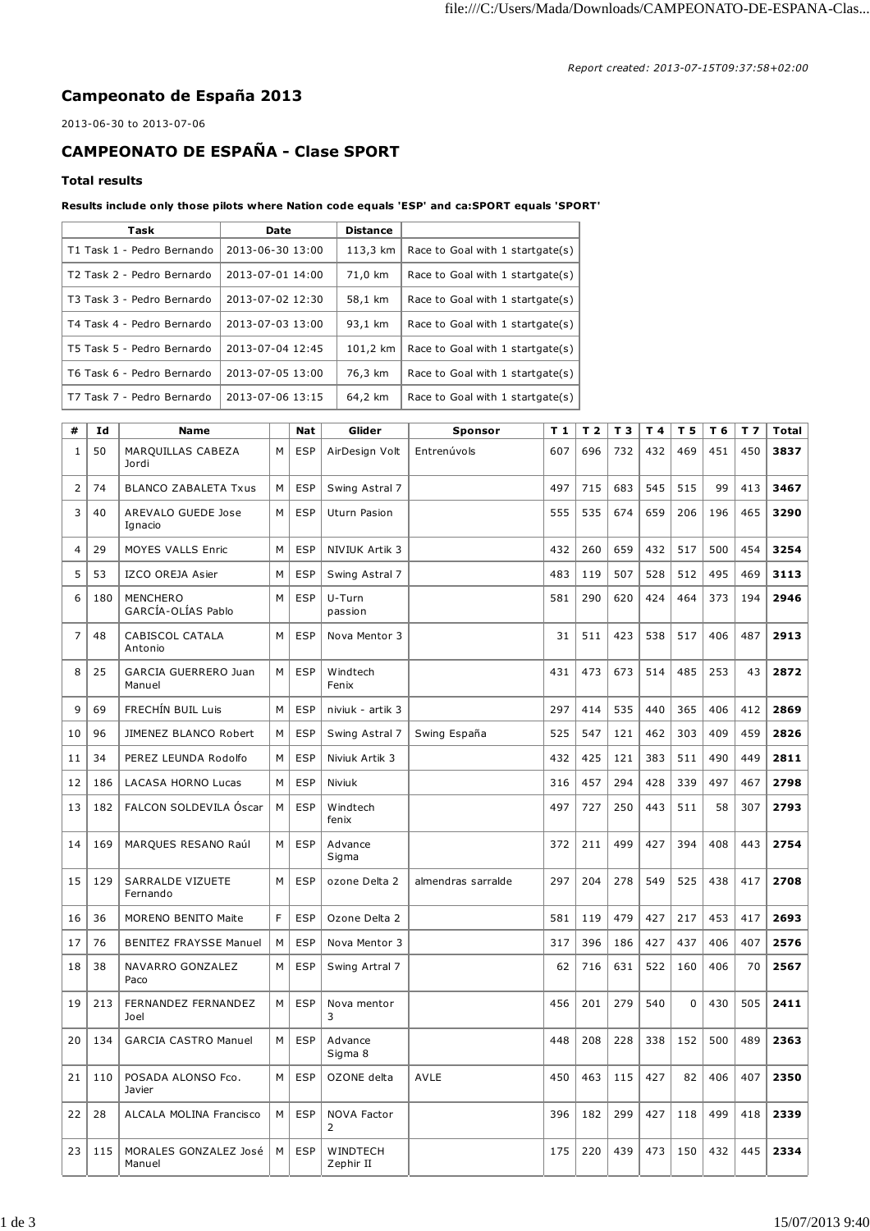## **Campeonato de España 2013**

2013-06-30 to 2013-07-06

## **CAMPEONATO DE ESPAÑA - Clase SPORT**

## **Total results**

**Results include only those pilots where Nation code equals 'ESP' and ca:SPORT equals 'SPORT'**

| Task                                   | Date             | <b>Distance</b> |                                  |
|----------------------------------------|------------------|-----------------|----------------------------------|
| T1 Task 1 - Pedro Bernando             | 2013-06-30 13:00 | 113,3 km        | Race to Goal with 1 startgate(s) |
| T <sub>2</sub> Task 2 - Pedro Bernardo | 2013-07-01 14:00 | 71,0 km         | Race to Goal with 1 startgate(s) |
| T3 Task 3 - Pedro Bernardo             | 2013-07-02 12:30 | 58,1 km         | Race to Goal with 1 startgate(s) |
| T4 Task 4 - Pedro Bernardo             | 2013-07-03 13:00 | 93,1 km         | Race to Goal with 1 startgate(s) |
| T5 Task 5 - Pedro Bernardo             | 2013-07-04 12:45 | 101.2 km        | Race to Goal with 1 startgate(s) |
| T6 Task 6 - Pedro Bernardo             | 2013-07-05 13:00 | 76,3 km         | Race to Goal with 1 startgate(s) |
| T7 Task 7 - Pedro Bernardo             | 2013-07-06 13:15 | 64,2 km         | Race to Goal with 1 startgate(s) |

| #              | Id  | <b>Name</b>                           |   | <b>Nat</b> | Glider                  | Sponsor            | T <sub>1</sub> | T <sub>2</sub> | T <sub>3</sub> | T 4 | T 5         | T 6 | T <sub>7</sub> | <b>Total</b> |
|----------------|-----|---------------------------------------|---|------------|-------------------------|--------------------|----------------|----------------|----------------|-----|-------------|-----|----------------|--------------|
| $\mathbf{1}$   | 50  | MARQUILLAS CABEZA<br>Jordi            | M | <b>ESP</b> | AirDesign Volt          | Entrenúvols        | 607            | 696            | 732            | 432 | 469         | 451 | 450            | 3837         |
| $\overline{2}$ | 74  | <b>BLANCO ZABALETA Txus</b>           | M | <b>ESP</b> | Swing Astral 7          |                    | 497            | 715            | 683            | 545 | 515         | 99  | 413            | 3467         |
| 3              | 40  | AREVALO GUEDE Jose<br>Ignacio         | M | <b>ESP</b> | Uturn Pasion            |                    | 555            | 535            | 674            | 659 | 206         | 196 | 465            | 3290         |
| $\overline{4}$ | 29  | <b>MOYES VALLS Enric</b>              | M | <b>ESP</b> | NIVIUK Artik 3          |                    | 432            | 260            | 659            | 432 | 517         | 500 | 454            | 3254         |
| 5              | 53  | IZCO OREJA Asier                      | M | <b>ESP</b> | Swing Astral 7          |                    | 483            | 119            | 507            | 528 | 512         | 495 | 469            | 3113         |
| 6              | 180 | MENCHERO<br>GARCÍA-OLÍAS Pablo        | M | <b>ESP</b> | U-Turn<br>passion       |                    | 581            | 290            | 620            | 424 | 464         | 373 | 194            | 2946         |
| $\overline{7}$ | 48  | CABISCOL CATALA<br>Antonio            | M | <b>ESP</b> | Nova Mentor 3           |                    | 31             | 511            | 423            | 538 | 517         | 406 | 487            | 2913         |
| 8              | 25  | <b>GARCIA GUERRERO Juan</b><br>Manuel | M | <b>ESP</b> | Windtech<br>Fenix       |                    | 431            | 473            | 673            | 514 | 485         | 253 | 43             | 2872         |
| 9              | 69  | FRECHÍN BUIL Luis                     | M | <b>ESP</b> | niviuk - artik 3        |                    | 297            | 414            | 535            | 440 | 365         | 406 | 412            | 2869         |
| 10             | 96  | JIMENEZ BLANCO Robert                 | M | <b>ESP</b> | Swing Astral 7          | Swing España       | 525            | 547            | 121            | 462 | 303         | 409 | 459            | 2826         |
| 11             | 34  | PEREZ LEUNDA Rodolfo                  | M | <b>ESP</b> | Niviuk Artik 3          |                    | 432            | 425            | 121            | 383 | 511         | 490 | 449            | 2811         |
| 12             | 186 | <b>LACASA HORNO Lucas</b>             | M | <b>ESP</b> | Niviuk                  |                    | 316            | 457            | 294            | 428 | 339         | 497 | 467            | 2798         |
| 13             | 182 | FALCON SOLDEVILA Oscar                | M | <b>ESP</b> | Windtech<br>fenix       |                    | 497            | 727            | 250            | 443 | 511         | 58  | 307            | 2793         |
| 14             | 169 | MARQUES RESANO Raúl                   | M | <b>ESP</b> | Advance<br>Sigma        |                    | 372            | 211            | 499            | 427 | 394         | 408 | 443            | 2754         |
| 15             | 129 | <b>SARRALDE VIZUETE</b><br>Fernando   | M | <b>ESP</b> | ozone Delta 2           | almendras sarralde | 297            | 204            | 278            | 549 | 525         | 438 | 417            | 2708         |
| 16             | 36  | <b>MORENO BENITO Maite</b>            | F | <b>ESP</b> | Ozone Delta 2           |                    | 581            | 119            | 479            | 427 | 217         | 453 | 417            | 2693         |
| 17             | 76  | <b>BENITEZ FRAYSSE Manuel</b>         | M | <b>ESP</b> | Nova Mentor 3           |                    | 317            | 396            | 186            | 427 | 437         | 406 | 407            | 2576         |
| 18             | 38  | NAVARRO GONZALEZ<br>Paco              | M | <b>ESP</b> | Swing Artral 7          |                    | 62             | 716            | 631            | 522 | 160         | 406 | 70             | 2567         |
| 19             | 213 | FERNANDEZ FERNANDEZ<br>Joel           | М | <b>ESP</b> | Nova mentor<br>3        |                    | 456            | 201            | 279            | 540 | $\mathbf 0$ | 430 | 505            | 2411         |
| 20             | 134 | <b>GARCIA CASTRO Manuel</b>           | M | <b>ESP</b> | Advance<br>Sigma 8      |                    | 448            | 208            | 228            | 338 | 152         | 500 | 489            | 2363         |
| 21             | 110 | POSADA ALONSO Fco.<br>Javier          | M | <b>ESP</b> | OZONE delta             | <b>AVLE</b>        | 450            | 463            | 115            | 427 | 82          | 406 | 407            | 2350         |
| 22             | 28  | ALCALA MOLINA Francisco               | M | <b>ESP</b> | <b>NOVA Factor</b><br>2 |                    | 396            | 182            | 299            | 427 | 118         | 499 | 418            | 2339         |
| 23             | 115 | MORALES GONZALEZ José<br>Manuel       | M | <b>ESP</b> | WINDTECH<br>Zephir II   |                    | 175            | 220            | 439            | 473 | 150         | 432 | 445            | 2334         |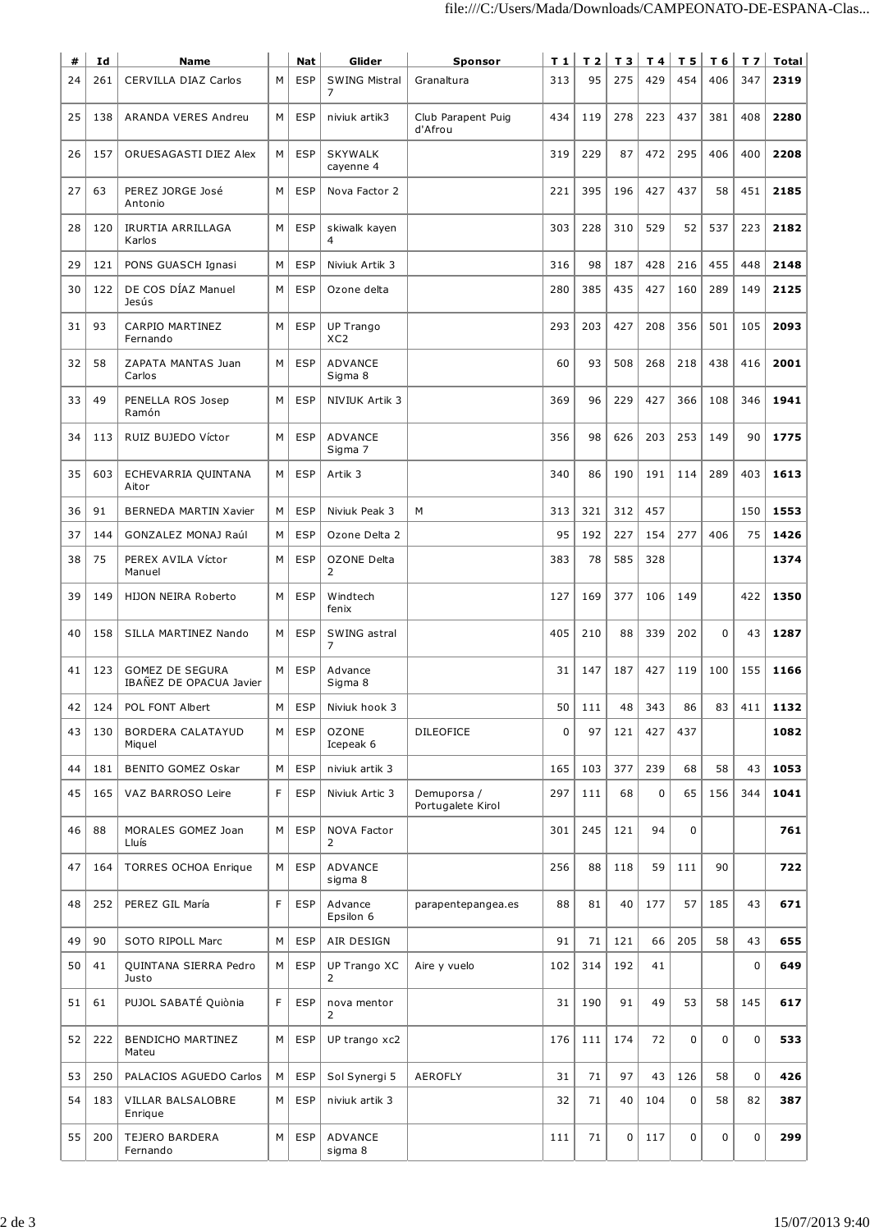| #  | Id  | <b>Name</b>                                       |   | <b>Nat</b> | Glider                         | <b>Sponsor</b>                   | T1          | T2  |     |     | $T3$ $T4$ $T5$ |             | $T6$   T 7 | Total |
|----|-----|---------------------------------------------------|---|------------|--------------------------------|----------------------------------|-------------|-----|-----|-----|----------------|-------------|------------|-------|
| 24 | 261 | <b>CERVILLA DIAZ Carlos</b>                       | М | <b>ESP</b> | <b>SWING Mistral</b><br>7      | Granaltura                       | 313         | 95  | 275 | 429 | 454            | 406         | 347        | 2319  |
| 25 | 138 | ARANDA VERES Andreu                               | M | <b>ESP</b> | niviuk artik3                  | Club Parapent Puig<br>d'Afrou    | 434         | 119 | 278 | 223 | 437            | 381         | 408        | 2280  |
| 26 | 157 | ORUESAGASTI DIEZ Alex                             | M | <b>ESP</b> | <b>SKYWALK</b><br>cayenne 4    |                                  | 319         | 229 | 87  | 472 | 295            | 406         | 400        | 2208  |
| 27 | 63  | PEREZ JORGE José<br>Antonio                       | M | <b>ESP</b> | Nova Factor 2                  |                                  | 221         | 395 | 196 | 427 | 437            | 58          | 451        | 2185  |
| 28 | 120 | <b>IRURTIA ARRILLAGA</b><br>Karlos                | M | <b>ESP</b> | skiwalk kayen<br>4             |                                  | 303         | 228 | 310 | 529 | 52             | 537         | 223        | 2182  |
| 29 | 121 | PONS GUASCH Ignasi                                | M | <b>ESP</b> | Niviuk Artik 3                 |                                  | 316         | 98  | 187 | 428 | 216            | 455         | 448        | 2148  |
| 30 | 122 | DE COS DÍAZ Manuel<br>Jesús                       | M | <b>ESP</b> | Ozone delta                    |                                  | 280         | 385 | 435 | 427 | 160            | 289         | 149        | 2125  |
| 31 | 93  | CARPIO MARTINEZ<br>Fernando                       | M | <b>ESP</b> | UP Trango<br>XC <sub>2</sub>   |                                  | 293         | 203 | 427 | 208 | 356            | 501         | 105        | 2093  |
| 32 | 58  | ZAPATA MANTAS Juan<br>Carlos                      | M | <b>ESP</b> | ADVANCE<br>Sigma 8             |                                  | 60          | 93  | 508 | 268 | 218            | 438         | 416        | 2001  |
| 33 | 49  | PENELLA ROS Josep<br>Ramón                        | M | <b>ESP</b> | NIVIUK Artik 3                 |                                  | 369         | 96  | 229 | 427 | 366            | 108         | 346        | 1941  |
| 34 | 113 | RUIZ BUJEDO Víctor                                | M | <b>ESP</b> | ADVANCE<br>Sigma 7             |                                  | 356         | 98  | 626 | 203 | 253            | 149         | 90         | 1775  |
| 35 | 603 | ECHEVARRIA QUINTANA<br>Aitor                      | M | <b>ESP</b> | Artik 3                        |                                  | 340         | 86  | 190 | 191 | 114            | 289         | 403        | 1613  |
| 36 | 91  | <b>BERNEDA MARTIN Xavier</b>                      | M | <b>ESP</b> | Niviuk Peak 3                  | М                                | 313         | 321 | 312 | 457 |                |             | 150        | 1553  |
| 37 | 144 | <b>GONZALEZ MONAJ Raúl</b>                        | M | <b>ESP</b> | Ozone Delta 2                  |                                  | 95          | 192 | 227 | 154 | 277            | 406         | 75         | 1426  |
| 38 | 75  | PEREX AVILA Víctor<br>Manuel                      | M | <b>ESP</b> | OZONE Delta<br>2               |                                  | 383         | 78  | 585 | 328 |                |             |            | 1374  |
| 39 | 149 | HIJON NEIRA Roberto                               | M | <b>ESP</b> | Windtech<br>fenix              |                                  | 127         | 169 | 377 | 106 | 149            |             | 422        | 1350  |
| 40 | 158 | SILLA MARTINEZ Nando                              | М | <b>ESP</b> | SWING astral<br>7              |                                  | 405         | 210 | 88  | 339 | 202            | $\mathbf 0$ | 43         | 1287  |
| 41 | 123 | <b>GOMEZ DE SEGURA</b><br>IBANEZ DE OPACUA Javier | M | <b>ESP</b> | Advance<br>Sigma 8             |                                  | 31          | 147 | 187 | 427 | 119            | 100         | 155        | 1166  |
| 42 | 124 | POL FONT Albert                                   | М | ESP        | Niviuk hook 3                  |                                  | 50          | 111 | 48  | 343 | 86             | 83          | 411        | 1132  |
| 43 | 130 | <b>BORDERA CALATAYUD</b><br>Miquel                | м | <b>ESP</b> | <b>OZONE</b><br>Icepeak 6      | <b>DILEOFICE</b>                 | $\mathbf 0$ | 97  | 121 | 427 | 437            |             |            | 1082  |
| 44 | 181 | BENITO GOMEZ Oskar                                | М | <b>ESP</b> | niviuk artik 3                 |                                  | 165         | 103 | 377 | 239 | 68             | 58          | 43         | 1053  |
| 45 | 165 | VAZ BARROSO Leire                                 | F | <b>ESP</b> | Niviuk Artic 3                 | Demuporsa /<br>Portugalete Kirol | 297         | 111 | 68  | 0   | 65             | 156         | 344        | 1041  |
| 46 | 88  | MORALES GOMEZ Joan<br>Lluís                       | М | <b>ESP</b> | NOVA Factor<br>2               |                                  | 301         | 245 | 121 | 94  | $\mathbf 0$    |             |            | 761   |
| 47 | 164 | <b>TORRES OCHOA Enrique</b>                       | М | <b>ESP</b> | ADVANCE<br>sigma 8             |                                  | 256         | 88  | 118 | 59  | 111            | 90          |            | 722   |
| 48 | 252 | PEREZ GIL María                                   | F | <b>ESP</b> | Advance<br>Epsilon 6           | parapentepangea.es               | 88          | 81  | 40  | 177 | 57             | 185         | 43         | 671   |
| 49 | 90  | SOTO RIPOLL Marc                                  | M | <b>ESP</b> | AIR DESIGN                     |                                  | 91          | 71  | 121 | 66  | 205            | 58          | 43         | 655   |
| 50 | 41  | QUINTANA SIERRA Pedro<br>Justo                    | М | <b>ESP</b> | UP Trango XC<br>$\overline{2}$ | Aire y vuelo                     | 102         | 314 | 192 | 41  |                |             | 0          | 649   |
| 51 | 61  | PUJOL SABATÉ Quiònia                              | F | <b>ESP</b> | nova mentor<br>2               |                                  | 31          | 190 | 91  | 49  | 53             | 58          | 145        | 617   |
| 52 | 222 | <b>BENDICHO MARTINEZ</b><br>Mateu                 | М | <b>ESP</b> | UP trango xc2                  |                                  | 176         | 111 | 174 | 72  | 0              | $\pmb{0}$   | 0          | 533   |
| 53 | 250 | PALACIOS AGUEDO Carlos                            | М | <b>ESP</b> | Sol Synergi 5                  | <b>AEROFLY</b>                   | 31          | 71  | 97  | 43  | 126            | 58          | 0          | 426   |
| 54 | 183 | VILLAR BALSALOBRE<br>Enrique                      | М | <b>ESP</b> | niviuk artik 3                 |                                  | 32          | 71  | 40  | 104 | 0              | 58          | 82         | 387   |
| 55 | 200 | <b>TEJERO BARDERA</b><br>Fernando                 | M | ESP        | ADVANCE<br>sigma 8             |                                  | 111         | 71  | 0   | 117 | 0              | 0           | 0          | 299   |